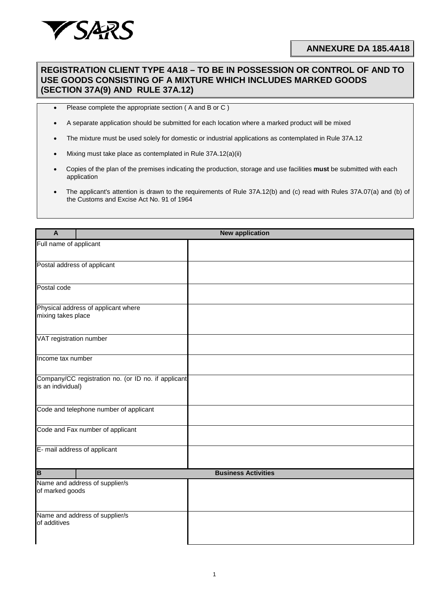

## **REGISTRATION CLIENT TYPE 4A18 – TO BE IN POSSESSION OR CONTROL OF AND TO USE GOODS CONSISTING OF A MIXTURE WHICH INCLUDES MARKED GOODS (SECTION 37A(9) AND RULE 37A.12)**

- Please complete the appropriate section ( A and B or C )
- A separate application should be submitted for each location where a marked product will be mixed
- The mixture must be used solely for domestic or industrial applications as contemplated in Rule 37A.12
- Mixing must take place as contemplated in Rule 37A.12(a)(ii)
- Copies of the plan of the premises indicating the production, storage and use facilities **must** be submitted with each application
- The applicant's attention is drawn to the requirements of Rule 37A.12(b) and (c) read with Rules 37A.07(a) and (b) of the Customs and Excise Act No. 91 of 1964

| $\mathbf{A}$                                                             | <b>New application</b>         |  |  |  |
|--------------------------------------------------------------------------|--------------------------------|--|--|--|
| Full name of applicant                                                   |                                |  |  |  |
| Postal address of applicant                                              |                                |  |  |  |
| Postal code                                                              |                                |  |  |  |
| Physical address of applicant where<br>mixing takes place                |                                |  |  |  |
| VAT registration number                                                  |                                |  |  |  |
| Income tax number                                                        |                                |  |  |  |
| Company/CC registration no. (or ID no. if applicant<br>is an individual) |                                |  |  |  |
| Code and telephone number of applicant                                   |                                |  |  |  |
| Code and Fax number of applicant                                         |                                |  |  |  |
| E- mail address of applicant                                             |                                |  |  |  |
| $\overline{B}$                                                           | <b>Business Activities</b>     |  |  |  |
| of marked goods                                                          | Name and address of supplier/s |  |  |  |
| Name and address of supplier/s<br>of additives                           |                                |  |  |  |